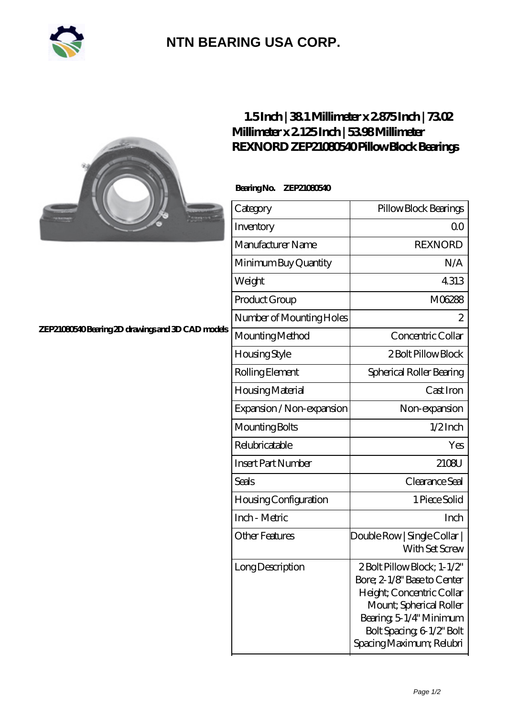

## **[NTN BEARING USA CORP.](https://m.2rw-antriebselemente.de)**



### **[ZEP21080540 Bearing 2D drawings and 3D CAD models](https://m.2rw-antriebselemente.de/pic-257809.html)**

### **[1.5 Inch | 38.1 Millimeter x 2.875 Inch | 73.02](https://m.2rw-antriebselemente.de/ar-257809-rexnord-zep21080540-pillow-block-bearings.html) [Millimeter x 2.125 Inch | 53.98 Millimeter](https://m.2rw-antriebselemente.de/ar-257809-rexnord-zep21080540-pillow-block-bearings.html) [REXNORD ZEP21080540 Pillow Block Bearings](https://m.2rw-antriebselemente.de/ar-257809-rexnord-zep21080540-pillow-block-bearings.html)**

### **Bearing No. ZEP21080540**

| Category                  | Pillow Block Bearings                                                                                                                                                                                |
|---------------------------|------------------------------------------------------------------------------------------------------------------------------------------------------------------------------------------------------|
| Inventory                 | Q0                                                                                                                                                                                                   |
| Manufacturer Name         | <b>REXNORD</b>                                                                                                                                                                                       |
| Minimum Buy Quantity      | N/A                                                                                                                                                                                                  |
| Weight                    | 4313                                                                                                                                                                                                 |
| Product Group             | M06288                                                                                                                                                                                               |
| Number of Mounting Holes  | $\overline{c}$                                                                                                                                                                                       |
| Mounting Method           | Concentric Collar                                                                                                                                                                                    |
| Housing Style             | 2 Bolt Pillow Block                                                                                                                                                                                  |
| Rolling Element           | Spherical Roller Bearing                                                                                                                                                                             |
| Housing Material          | Cast Iron                                                                                                                                                                                            |
| Expansion / Non-expansion | Non-expansion                                                                                                                                                                                        |
| Mounting Bolts            | $1/2$ Inch                                                                                                                                                                                           |
| Relubricatable            | Yes                                                                                                                                                                                                  |
| <b>Insert Part Number</b> | 2108U                                                                                                                                                                                                |
| Seals                     | Clearance Seal                                                                                                                                                                                       |
| Housing Configuration     | 1 Piece Solid                                                                                                                                                                                        |
| Inch - Metric             | Inch                                                                                                                                                                                                 |
| <b>Other Features</b>     | Double Row   Single Collar  <br>With Set Screw                                                                                                                                                       |
| Long Description          | 2 Bolt Pillow Block; 1-1/2"<br>Bore; 2-1/8" Base to Center<br>Height; Concentric Collar<br>Mount; Spherical Roller<br>Bearing 5-1/4" Minimum<br>Bolt Spacing 6 1/2" Bolt<br>Spacing Maximum; Relubri |